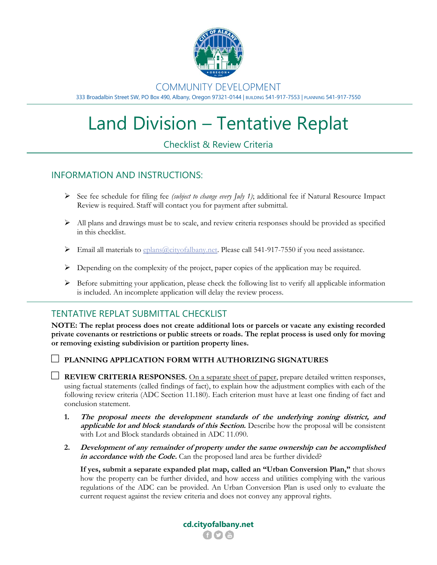

### COMMUNITY DEVELOPMENT

333 Broadalbin Street SW, PO Box 490, Albany, Oregon 97321-0144 | BUILDING 541-917-7553 | PLANNING 541-917-7550

# Land Division – Tentative Replat

# Checklist & Review Criteria

## INFORMATION AND INSTRUCTIONS:

- ➢ See fee schedule for filing fee *(subject to change every July 1)*; additional fee if Natural Resource Impact Review is required. Staff will contact you for payment after submittal.
- $\triangleright$  All plans and drawings must be to scale, and review criteria responses should be provided as specified in this checklist.
- $\triangleright$  Email all materials to  $\frac{1}{2}$  eplans  $\frac{2}{2}$  cityofalbany.net. Please call 541-917-7550 if you need assistance.
- $\triangleright$  Depending on the complexity of the project, paper copies of the application may be required.
- $\triangleright$  Before submitting your application, please check the following list to verify all applicable information is included. An incomplete application will delay the review process.

## TENTATIVE REPLAT SUBMITTAL CHECKLIST

**NOTE: The replat process does not create additional lots or parcels or vacate any existing recorded private covenants or restrictions or public streets or roads. The replat process is used only for moving or removing existing subdivision or partition property lines.** 

□ **PLANNING APPLICATION FORM WITH AUTHORIZING SIGNATURES**

 $\Box$  **REVIEW CRITERIA RESPONSES.** On a separate sheet of paper, prepare detailed written responses, using factual statements (called findings of fact), to explain how the adjustment complies with each of the following review criteria (ADC Section 11.180). Each criterion must have at least one finding of fact and conclusion statement.

- **1. The proposal meets the development standards of the underlying zoning district, and applicable lot and block standards of this Section.** Describe how the proposal will be consistent with Lot and Block standards obtained in ADC 11.090.
- **2. Development of any remainder of property under the same ownership can be accomplished**  in **accordance with the Code.** Can the proposed land area be further divided?

**If yes, submit a separate expanded plat map, called an "Urban Conversion Plan,"** that shows how the property can be further divided, and how access and utilities complying with the various regulations of the ADC can be provided. An Urban Conversion Plan is used only to evaluate the current request against the review criteria and does not convey any approval rights.

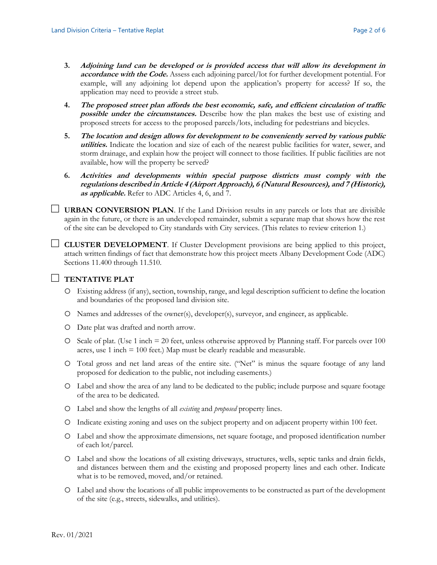- **3. Adjoining land can be developed or is provided access that will allow its development in accordance with the Code.** Assess each adjoining parcel/lot for further development potential. For example, will any adjoining lot depend upon the application's property for access? If so, the application may need to provide a street stub.
- **4. The proposed street plan affords the best economic, safe, and efficient circulation of traffic possible under the circumstances.** Describe how the plan makes the best use of existing and proposed streets for access to the proposed parcels/lots, including for pedestrians and bicycles.
- **5. The location and design allows for development to be conveniently served by various public utilities.** Indicate the location and size of each of the nearest public facilities for water, sewer, and storm drainage, and explain how the project will connect to those facilities. If public facilities are not available, how will the property be served?
- **6. Activities and developments within special purpose districts must comply with the regulations described in Article 4 (Airport Approach), 6 (Natural Resources), and 7 (Historic), as applicable.** Refer to ADC Articles 4, 6, and 7.

 $\Box$  **URBAN CONVERSION PLAN**. If the Land Division results in any parcels or lots that are divisible again in the future, or there is an undeveloped remainder, submit a separate map that shows how the rest of the site can be developed to City standards with City services. (This relates to review criterion 1.)

□ **CLUSTER DEVELOPMENT**. If Cluster Development provisions are being applied to this project, attach written findings of fact that demonstrate how this project meets Albany Development Code (ADC) Sections 11.400 through 11.510.

#### □ **TENTATIVE PLAT**

- o Existing address (if any), section, township, range, and legal description sufficient to define the location and boundaries of the proposed land division site.
- o Names and addresses of the owner(s), developer(s), surveyor, and engineer, as applicable.
- o Date plat was drafted and north arrow.
- o Scale of plat. (Use 1 inch = 20 feet, unless otherwise approved by Planning staff. For parcels over 100 acres, use 1 inch = 100 feet.) Map must be clearly readable and measurable.
- o Total gross and net land areas of the entire site. ("Net" is minus the square footage of any land proposed for dedication to the public, not including easements.)
- o Label and show the area of any land to be dedicated to the public; include purpose and square footage of the area to be dedicated.
- o Label and show the lengths of all *existing* and *proposed* property lines.
- o Indicate existing zoning and uses on the subject property and on adjacent property within 100 feet.
- o Label and show the approximate dimensions, net square footage, and proposed identification number of each lot/parcel.
- o Label and show the locations of all existing driveways, structures, wells, septic tanks and drain fields, and distances between them and the existing and proposed property lines and each other. Indicate what is to be removed, moved, and/or retained.
- o Label and show the locations of all public improvements to be constructed as part of the development of the site (e.g., streets, sidewalks, and utilities).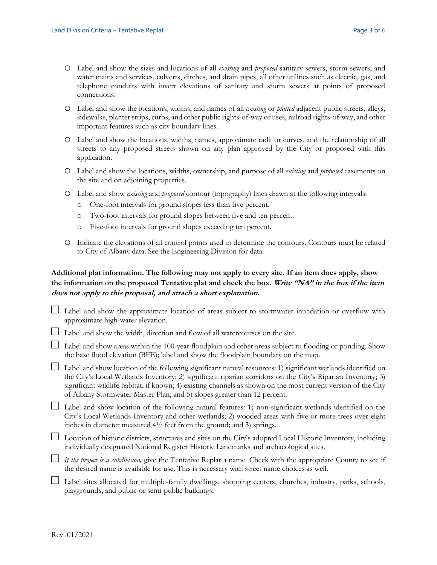- o Label and show the sizes and locations of all *existing* and *proposed* sanitary sewers, storm sewers, and water mains and services, culverts, ditches, and drain pipes, all other utilities such as electric, gas, and telephone conduits with invert elevations of sanitary and storm sewers at points of proposed connections.
- o Label and show the locations, widths, and names of all *existing* or *platted* adjacent public streets, alleys, sidewalks, planter strips, curbs, and other public rights-of-way or uses, railroad rights-of-way, and other important features such as city boundary lines.
- o Label and show the locations, widths, names, approximate radii or curves, and the relationship of all streets to any proposed streets shown on any plan approved by the City or proposed with this application.
- o Label and show the locations, widths, ownership, and purpose of all *existing* and *proposed* easements on the site and on adjoining properties.
- o Label and show *existing* and *proposed* contour (topography) lines drawn at the following intervals:
	- o One-foot intervals for ground slopes less than five percent.
	- o Two-foot intervals for ground slopes between five and ten percent.
	- o Five-foot intervals for ground slopes exceeding ten percent.
- o Indicate the elevations of all control points used to determine the contours. Contours must be related to City of Albany data. See the Engineering Division for data.

#### **Additional plat information. The following may not apply to every site. If an item does apply, show the information on the proposed Tentative plat and check the box. Write "NA" in the box if the item does not apply to this proposal, and attach a short explanation.**

- □ Label and show the approximate location of areas subject to stormwater inundation or overflow with approximate high-water elevation.
- $\Box$  Label and show the width, direction and flow of all watercourses on the site.

 $\Box$  Label and show areas within the 100-year floodplain and other areas subject to flooding or ponding. Show the base flood elevation (BFE); label and show the floodplain boundary on the map.

□ Label and show location of the following significant natural resources: 1) significant wetlands identified on the City's Local Wetlands Inventory; 2) significant riparian corridors on the City's Riparian Inventory; 3) significant wildlife habitat, if known; 4) existing channels as shown on the most current version of the City of Albany Stormwater Master Plan; and 5) slopes greater than 12 percent.

□ Label and show location of the following natural features: 1) non-significant wetlands identified on the City's Local Wetlands Inventory and other wetlands; 2) wooded areas with five or more trees over eight inches in diameter measured 4½ feet from the ground; and 3) springs.

□ Location of historic districts, structures and sites on the City's adopted Local Historic Inventory, including individually designated National Register Historic Landmarks and archaeological sites.

□ *If the project is a subdivision,* give the Tentative Replat a name. Check with the appropriate County to see if the desired name is available for use. This is necessary with street name choices as well.

□ Label sites allocated for multiple-family dwellings, shopping centers, churches, industry, parks, schools, playgrounds, and public or semi-public buildings.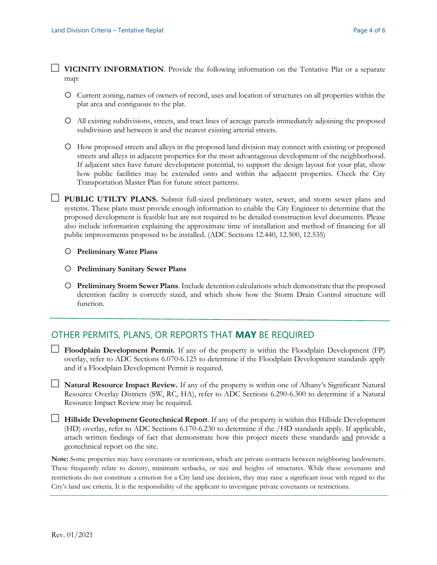□ **VICINITY INFORMATION**. Provide the following information on the Tentative Plat or a separate map:

- o Current zoning, names of owners of record, uses and location of structures on all properties within the plat area and contiguous to the plat.
- o All existing subdivisions, streets, and tract lines of acreage parcels immediately adjoining the proposed subdivision and between it and the nearest existing arterial streets.
- o How proposed streets and alleys in the proposed land division may connect with existing or proposed streets and alleys in adjacent properties for the most advantageous development of the neighborhood. If adjacent sites have future development potential, to support the design layout for your plat, show how public facilities may be extended onto and within the adjacent properties. Check the City Transportation Master Plan for future street patterns.
- □ **PUBLIC UTILTY PLANS.** Submit full-sized preliminary water, sewer, and storm sewer plans and systems. These plans must provide enough information to enable the City Engineer to determine that the proposed development is feasible but are not required to be detailed construction level documents. Please also include information explaining the approximate time of installation and method of financing for all public improvements proposed to be installed. (ADC Sections 12.440, 12.500, 12.535)

#### o **Preliminary Water Plans**

- o **Preliminary Sanitary Sewer Plans**
- o **Preliminary Storm Sewer Plans**. Include detention calculations which demonstrate that the proposed detention facility is correctly sized, and which show how the Storm Drain Control structure will function.

#### OTHER PERMITS, PLANS, OR REPORTS THAT **MAY** BE REQUIRED

- □ **Floodplain Development Permit.** If any of the property is within the Floodplain Development (FP) overlay, refer to ADC Sections 6.070-6.125 to determine if the Floodplain Development standards apply and if a Floodplain Development Permit is required.
- □ **Natural Resource Impact Review.** If any of the property is within one of Albany's Significant Natural Resource Overlay Districts (SW, RC, HA), refer to ADC Sections 6.290-6.300 to determine if a Natural Resource Impact Review may be required.
- □ **Hillside Development Geotechnical Report**. If any of the property is within this Hillside Development (HD) overlay, refer to ADC Sections 6.170-6.230 to determine if the /HD standards apply. If applicable, attach written findings of fact that demonstrate how this project meets these standards and provide a geotechnical report on the site.

**Note:** Some properties may have covenants or restrictions, which are private contracts between neighboring landowners. These frequently relate to density, minimum setbacks, or size and heights of structures. While these covenants and restrictions do not constitute a criterion for a City land use decision, they may raise a significant issue with regard to the City's land use criteria. It is the responsibility of the applicant to investigate private covenants or restrictions.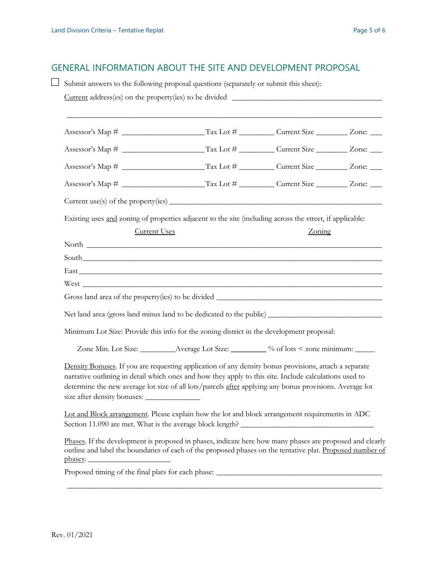### GENERAL INFORMATION ABOUT THE SITE AND DEVELOPMENT PROPOSAL

 $\Box$  Submit answers to the following proposal questions (separately or submit this sheet):  $Current address(es)$  on the property(ies) to be divided  $\Box$ \_\_\_\_\_\_\_\_\_\_\_\_\_\_\_\_\_\_\_\_\_\_\_\_\_\_\_\_\_\_\_\_\_\_\_\_\_\_\_\_\_\_\_\_\_\_\_\_\_\_\_\_\_\_\_\_\_\_\_\_\_\_\_\_\_\_\_\_\_\_\_\_\_\_\_\_\_\_\_\_ Assessor's Map # \_\_\_\_\_\_\_\_\_\_\_\_\_\_\_\_\_\_\_\_\_Tax Lot # \_\_\_\_\_\_\_\_\_ Current Size \_\_\_\_\_\_\_\_ Zone: \_\_\_ Assessor's Map # \_\_\_\_\_\_\_\_\_\_\_\_\_\_\_\_\_\_\_\_\_Tax Lot # \_\_\_\_\_\_\_\_\_ Current Size \_\_\_\_\_\_\_\_ Zone: \_\_\_ Assessor's Map # \_\_\_\_\_\_\_\_\_\_\_\_\_\_\_\_\_\_\_\_\_Tax Lot # \_\_\_\_\_\_\_\_\_ Current Size \_\_\_\_\_\_\_\_ Zone: \_\_\_ Assessor's Map # \_\_\_\_\_\_\_\_\_\_\_\_\_\_\_\_\_\_\_\_\_Tax Lot # \_\_\_\_\_\_\_\_\_ Current Size \_\_\_\_\_\_\_\_ Zone: \_\_\_  $Current use(s)$  of the property(ies)  $\qquad \qquad \qquad$ Existing uses and zoning of properties adjacent to the site (including across the street, if applicable: Current Uses Zoning North  $\Box$  $South$ East \_\_\_\_\_\_\_\_\_\_\_\_\_\_\_\_\_\_\_\_\_\_\_\_\_\_\_\_\_\_\_\_\_\_\_\_\_\_\_\_\_\_\_\_\_\_\_\_\_\_\_\_\_\_\_\_\_\_\_\_\_\_\_\_\_\_\_\_\_\_\_\_\_\_\_\_\_  $West$ Gross land area of the property(ies) to be divided \_\_\_\_\_\_\_\_\_\_\_\_\_\_\_\_\_\_\_\_\_\_\_\_\_\_\_\_\_\_ Net land area (gross land minus land to be dedicated to the public) \_\_\_\_\_\_\_\_\_\_\_\_ Minimum Lot Size: Provide this info for the zoning district in the development proposal: Zone Min. Lot Size: \_\_\_\_\_\_\_\_\_\_\_Average Lot Size: \_\_\_\_\_\_\_\_ % of lots < zone minimum: \_\_\_\_\_ Density Bonuses. If you are requesting application of any density bonus provisions, attach a separate narrative outlining in detail which ones and how they apply to this site. Include calculations used to determine the new average lot size of all lots/parcels after applying any bonus provisions. Average lot size after density bonuses: \_\_\_\_\_\_\_\_\_\_\_\_\_\_ Lot and Block arrangement. Please explain how the lot and block arrangement requirements in ADC Section 11.090 are met. What is the average block length? Phases. If the development is proposed in phases, indicate here how many phases are proposed and clearly outline and label the boundaries of each of the proposed phases on the tentative plat. Proposed number of phases: Proposed timing of the final plats for each phase: \_\_\_\_\_\_\_\_\_\_\_\_\_\_\_\_\_\_\_\_\_\_\_\_\_\_\_\_\_\_\_\_\_\_\_\_\_\_\_\_\_\_\_\_\_\_\_\_\_\_\_\_\_\_\_\_\_\_\_\_\_\_\_\_\_\_\_\_\_\_\_\_\_\_\_\_\_\_\_\_